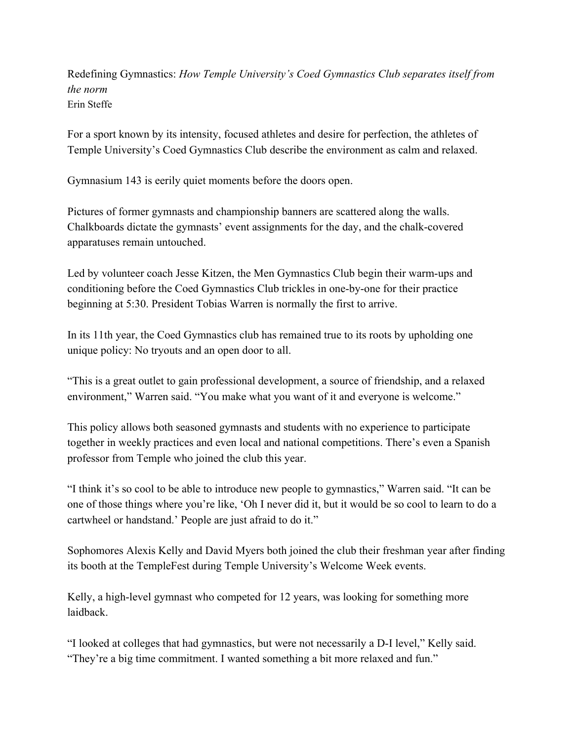Redefining Gymnastics: *How Temple University's Coed Gymnastics Club separates itself from the norm* Erin Steffe

For a sport known by its intensity, focused athletes and desire for perfection, the athletes of Temple University's Coed Gymnastics Club describe the environment as calm and relaxed.

Gymnasium 143 is eerily quiet moments before the doors open.

Pictures of former gymnasts and championship banners are scattered along the walls. Chalkboards dictate the gymnasts' event assignments for the day, and the chalk-covered apparatuses remain untouched.

Led by volunteer coach Jesse Kitzen, the Men Gymnastics Club begin their warm-ups and conditioning before the Coed Gymnastics Club trickles in one-by-one for their practice beginning at 5:30. President Tobias Warren is normally the first to arrive.

In its 11th year, the Coed Gymnastics club has remained true to its roots by upholding one unique policy: No tryouts and an open door to all.

"This is a great outlet to gain professional development, a source of friendship, and a relaxed environment," Warren said. "You make what you want of it and everyone is welcome."

This policy allows both seasoned gymnasts and students with no experience to participate together in weekly practices and even local and national competitions. There's even a Spanish professor from Temple who joined the club this year.

"I think it's so cool to be able to introduce new people to gymnastics," Warren said. "It can be one of those things where you're like, 'Oh I never did it, but it would be so cool to learn to do a cartwheel or handstand.' People are just afraid to do it."

Sophomores Alexis Kelly and David Myers both joined the club their freshman year after finding its booth at the TempleFest during Temple University's Welcome Week events.

Kelly, a high-level gymnast who competed for 12 years, was looking for something more laidback.

"I looked at colleges that had gymnastics, but were not necessarily a D-I level," Kelly said. "They're a big time commitment. I wanted something a bit more relaxed and fun."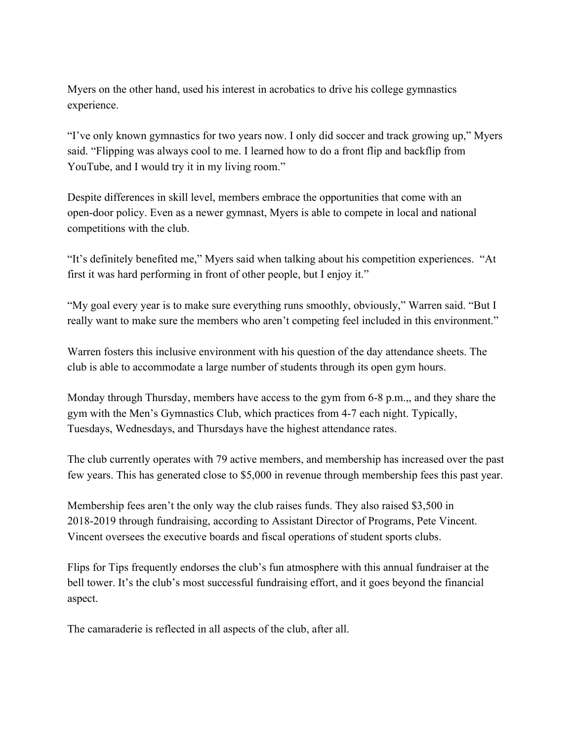Myers on the other hand, used his interest in acrobatics to drive his college gymnastics experience.

"I've only known gymnastics for two years now. I only did soccer and track growing up," Myers said. "Flipping was always cool to me. I learned how to do a front flip and backflip from YouTube, and I would try it in my living room."

Despite differences in skill level, members embrace the opportunities that come with an open-door policy. Even as a newer gymnast, Myers is able to compete in local and national competitions with the club.

"It's definitely benefited me," Myers said when talking about his competition experiences. "At first it was hard performing in front of other people, but I enjoy it."

"My goal every year is to make sure everything runs smoothly, obviously," Warren said. "But I really want to make sure the members who aren't competing feel included in this environment."

Warren fosters this inclusive environment with his question of the day attendance sheets. The club is able to accommodate a large number of students through its open gym hours.

Monday through Thursday, members have access to the gym from 6-8 p.m.,, and they share the gym with the Men's Gymnastics Club, which practices from 4-7 each night. Typically, Tuesdays, Wednesdays, and Thursdays have the highest attendance rates.

The club currently operates with 79 active members, and membership has increased over the past few years. This has generated close to \$5,000 in revenue through membership fees this past year.

Membership fees aren't the only way the club raises funds. They also raised \$3,500 in 2018-2019 through fundraising, according to Assistant Director of Programs, Pete Vincent. Vincent oversees the executive boards and fiscal operations of student sports clubs.

Flips for Tips frequently endorses the club's fun atmosphere with this annual fundraiser at the bell tower. It's the club's most successful fundraising effort, and it goes beyond the financial aspect.

The camaraderie is reflected in all aspects of the club, after all.